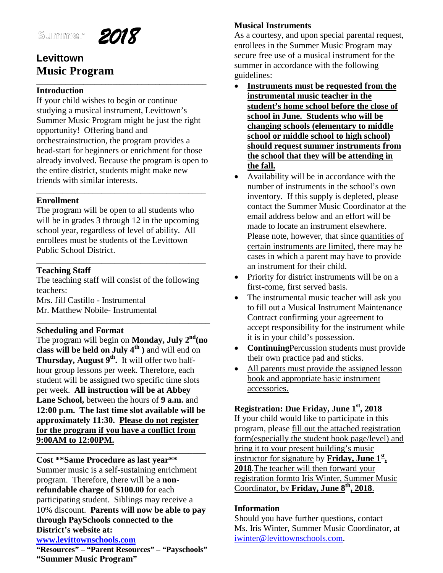

## **Levittown Music Program** \_\_\_\_\_\_\_\_\_\_\_\_\_\_\_\_\_\_\_\_\_\_\_\_\_\_\_\_\_\_\_\_\_\_\_\_\_\_\_\_\_\_\_\_\_\_\_

### **Introduction**

If your child wishes to begin or continue studying a musical instrument, Levittown's Summer Music Program might be just the right opportunity! Offering band and orchestrainstruction, the program provides a head-start for beginners or enrichment for those already involved. Because the program is open to the entire district, students might make new friends with similar interests.

### **Enrollment**

The program will be open to all students who will be in grades 3 through 12 in the upcoming school year, regardless of level of ability. All enrollees must be students of the Levittown Public School District.

\_\_\_\_\_\_\_\_\_\_\_\_\_\_\_\_\_\_\_\_\_\_\_\_\_\_\_\_\_\_\_\_\_\_\_\_\_\_\_

## **Teaching Staff**

The teaching staff will consist of the following teachers:

\_\_\_\_\_\_\_\_\_\_\_\_\_\_\_\_\_\_\_\_\_\_\_\_\_\_\_\_\_\_\_\_\_\_\_\_\_\_\_

Mrs. Jill Castillo - Instrumental Mr. Matthew Nobile- Instrumental

### \_\_\_\_\_\_\_\_\_\_\_\_\_\_\_\_\_\_\_\_\_\_\_\_\_\_\_\_\_\_\_\_\_\_\_\_\_\_\_\_ **Scheduling and Format**

The program will begin on **Monday, July 2nd(no class will be held on July 4th )** and will end on **Thursday, August 9th.** It will offer two halfhour group lessons per week. Therefore, each student will be assigned two specific time slots per week. **All instruction will be at Abbey Lane School,** between the hours of **9 a.m.** and **12:00 p.m. The last time slot available will be approximately 11:30. Please do not register for the program if you have a conflict from 9:00AM to 12:00PM.**

**Cost \*\*Same Procedure as last year\*\*** Summer music is a self-sustaining enrichment program. Therefore, there will be a **nonrefundable charge of \$100.00** for each participating student. Siblings may receive a 10% discount. **Parents will now be able to pay through PaySchools connected to the District's website at: [www.levittownschools.com](http://www.levittownschools.com/)**

\_\_\_\_\_\_\_\_\_\_\_\_\_\_\_\_\_\_\_\_\_\_\_\_\_\_\_\_\_\_\_\_\_\_\_\_\_\_\_

## **"Resources" – "Parent Resources" – "Payschools" "Summer Music Program"**

## **Musical Instruments**

As a courtesy, and upon special parental request, enrollees in the Summer Music Program may secure free use of a musical instrument for the summer in accordance with the following guidelines:

- **Instruments must be requested from the instrumental music teacher in the student's home school before the close of school in June. Students who will be changing schools (elementary to middle school or middle school to high school) should request summer instruments from the school that they will be attending in the fall.**
- Availability will be in accordance with the number of instruments in the school's own inventory. If this supply is depleted, please contact the Summer Music Coordinator at the email address below and an effort will be made to locate an instrument elsewhere. Please note, however, that since quantities of certain instruments are limited, there may be cases in which a parent may have to provide an instrument for their child.
- Priority for district instruments will be on a first-come, first served basis.
- The instrumental music teacher will ask you to fill out a Musical Instrument Maintenance Contract confirming your agreement to accept responsibility for the instrument while it is in your child's possession.
- **Continuing**Percussion students must provide their own practice pad and sticks.
- All parents must provide the assigned lesson book and appropriate basic instrument accessories.

## **Registration: Due Friday, June 1st, 2018**

If your child would like to participate in this program, please fill out the attached registration form(especially the student book page/level) and bring it to your present building's music instructor for signature by **Friday**, June  $1^{\underline{st}}$ , **2018**.The teacher will then forward your registration formto Iris Winter, Summer Music Coordinator, by **Friday**, June 8<sup>th</sup>, 2018.

## **Information**

Should you have further questions, contact Ms. Iris Winter, Summer Music Coordinator, at [iwinter@levittownschools.com.](mailto:iwinter@levittownschools.com)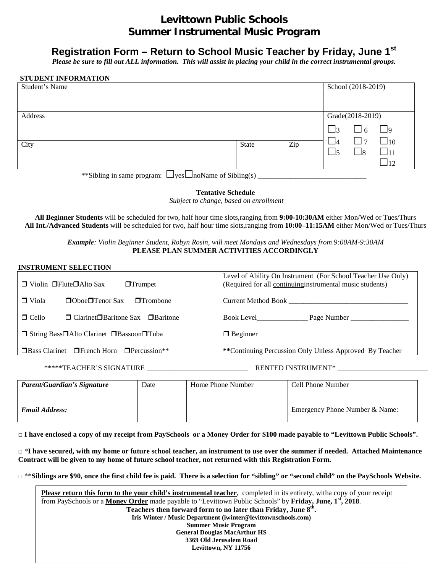## **Levittown Public Schools Summer Instrumental Music Program**

## **Registration Form – Return to School Music Teacher by Friday, June 1st**

*Please be sure to fill out ALL information. This will assist in placing your child in the correct instrumental groups.*

| <b>STUDENT INFORMATION</b> |  |
|----------------------------|--|
|----------------------------|--|

| Student's Name                                                    |                     | School (2018-2019)                                                                                                      |
|-------------------------------------------------------------------|---------------------|-------------------------------------------------------------------------------------------------------------------------|
| Address<br>City                                                   | Zip<br><b>State</b> | Grade(2018-2019)<br>$\Box$ 6<br>__ 9<br> 3<br>$\square$ 10<br>l 17<br>$\Box$ 4<br>$\Box$ 11<br>  18<br>-15<br>$\Box$ 12 |
| **Sibling in same program: $\Box$ yes $\Box$ noName of Sibling(s) |                     |                                                                                                                         |

**Tentative Schedule** *Subject to change, based on enrollment* 

**All Beginner Students** will be scheduled for two, half hour time slots,ranging from **9:00-10:30AM** either Mon/Wed or Tues/Thurs **All Int./Advanced Students** will be scheduled for two, half hour time slots,ranging from **10:00–11:15AM** either Mon/Wed or Tues/Thurs

> *Example: Violin Beginner Student, Robyn Rosin, will meet Mondays and Wednesdays from 9:00AM-9:30AM* **PLEASE PLAN SUMMER ACTIVITIES ACCORDINGLY**

#### **INSTRUMENT SELECTION**

| $\Box$ Violin $\Box$ Flute $\Box$ Alto Sax<br>$\Box$ Trumpet            | Level of Ability On Instrument (For School Teacher Use Only)<br>(Required for all continuinginstrumental music students) |
|-------------------------------------------------------------------------|--------------------------------------------------------------------------------------------------------------------------|
| $\Box$ Viola<br>$\Box$ Oboe $\Box$ Tenor Sax<br>$\blacksquare$ Trombone | Current Method Book                                                                                                      |
| $\Box$ Cello<br>$\Box$ Clarinet $\Box$ Baritone Sax $\Box$ Baritone     | Book Level __________<br>Page Number                                                                                     |
| □ String Bass□ Alto Clarinet □ Bassoon□ Tuba                            | $\Box$ Beginner                                                                                                          |
| $\Box$ Bass Clarinet $\Box$ French Horn $\Box$ Percussion**             | ** Continuing Percussion Only Unless Approved By Teacher                                                                 |

\*\*\*\*\*TEACHER'S SIGNATURE \_\_\_\_\_\_\_\_\_\_\_\_\_\_\_\_\_\_\_\_\_\_\_\_\_\_\_\_ RENTED INSTRUMENT\* \_\_\_\_\_\_\_\_\_\_\_\_\_\_\_\_\_\_\_\_\_\_\_\_\_

| Parent/Guardian's Signature | Date | Home Phone Number | Cell Phone Number              |
|-----------------------------|------|-------------------|--------------------------------|
| <b>Email Address:</b>       |      |                   | Emergency Phone Number & Name: |

□ **I have enclosed a copy of my receipt from PaySchools or a Money Order for \$100 made payable to "Levittown Public Schools".**

□ \***I have secured, with my home or future school teacher, an instrument to use over the summer if needed. Attached Maintenance Contract will be given to my home of future school teacher, not returned with this Registration Form.**

□ \*\***Siblings are \$90, once the first child fee is paid. There is a selection for "sibling" or "second child" on the PaySchools Website.**

**Please return this form to the your child's instrumental teacher**, completed in its entirety, witha copy of your receipt from PaySchools or a **Money Order** made payable to "Levittown Public Schools" by **Friday, June, 1st, 2018**. **Teachers then forward form to no later than Friday, June 8th. Iris Winter / Music Department (iwinter@levittownschools.com) Summer Music Program General Douglas MacArthur HS 3369 Old Jerusalem Road Levittown, NY 11756**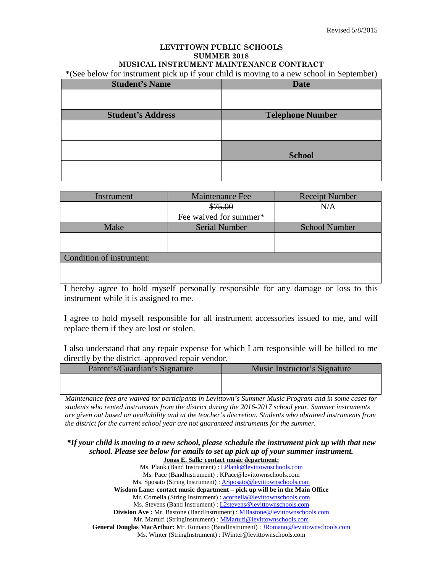#### **LEVITTOWN PUBLIC SCHOOLS SUMMER 2018 MUSICAL INSTRUMENT MAINTENANCE CONTRACT**

\*(See below for instrument pick up if your child is moving to a new school in September)

| <b>Student's Name</b>    | <b>Date</b>             |
|--------------------------|-------------------------|
|                          |                         |
|                          |                         |
| <b>Student's Address</b> | <b>Telephone Number</b> |
|                          |                         |
|                          |                         |
|                          |                         |
|                          | <b>School</b>           |
|                          |                         |
|                          |                         |

| Instrument               | <b>Maintenance Fee</b> | <b>Receipt Number</b> |
|--------------------------|------------------------|-----------------------|
|                          | \$75.00                | N/A                   |
|                          | Fee waived for summer* |                       |
| Make                     | <b>Serial Number</b>   | <b>School Number</b>  |
|                          |                        |                       |
|                          |                        |                       |
| Condition of instrument: |                        |                       |
|                          |                        |                       |
|                          |                        |                       |

I hereby agree to hold myself personally responsible for any damage or loss to this instrument while it is assigned to me.

I agree to hold myself responsible for all instrument accessories issued to me, and will replace them if they are lost or stolen.

I also understand that any repair expense for which I am responsible will be billed to me directly by the district–approved repair vendor.

| Parent's/Guardian's Signature | Music Instructor's Signature |
|-------------------------------|------------------------------|
|                               |                              |

*Maintenance fees are waived for participants in Levittown's Summer Music Program and in some cases for students who rented instruments from the district during the 2016-2017 school year. Summer instruments are given out based on availability and at the teacher's discretion. Students who obtained instruments from the district for the current school year are not guaranteed instruments for the summer.* 

#### *\*If your child is moving to a new school, please schedule the instrument pick up with that new school. Please see below for emails to set up pick up of your summer instrument.* **Jonas E. Salk: contact music department:**

Ms. Plank (Band Instrument) [: LPlank@levittownschools.com](mailto:LPlank@levittownschools.com) Ms. Pace (BandInstrument) : KPace@levittownschools.com Ms. Sposato (String Instrument) [: ASposato@levittownschools.com](mailto:ASposato@levittownschools.com) **Wisdom Lane: contact music department – pick up will be in the Main Office** Mr. Cornella (String Instrument) [: acornella@levittownschools.com](mailto:acornella@levittownschools.com) Ms. Stevens (Band Instrument) : [L2stevens@levittownschools.com](https://mail.levittownschools.com/owa/redir.aspx?SURL=NZXnnUb7P4ZNvInaZJ4f2mQmMoi8Ia4RuJa__o40rJ8UVCKsg1zSCG0AYQBpAGwAdABvADoATAAyAHMAdABlAHYAZQBuAHMAQABsAGUAdgBpAHQAdABvAHcAbgBzAGMAaABvAG8AbABzAC4AYwBvAG0A&URL=mailto%3aL2stevens%40levittownschools.com) **Division Ave :** Mr. Bastone (BandInstrument) : [MBastone@levittownschools.com](mailto:MBastone@levittownschools.com) Mr. Martufi (StringInstrument) [: MMartufi@levittownschools.com](mailto:MMartufi@levittownschools.com) **General Douglas MacArthur:** Mr. Romano (BandInstrument) : [JRomano@levittownschools.com](mailto:JRomano@levittownschools.com) Ms. Winter (StringInstrument) : IWinter@levittownschools.com